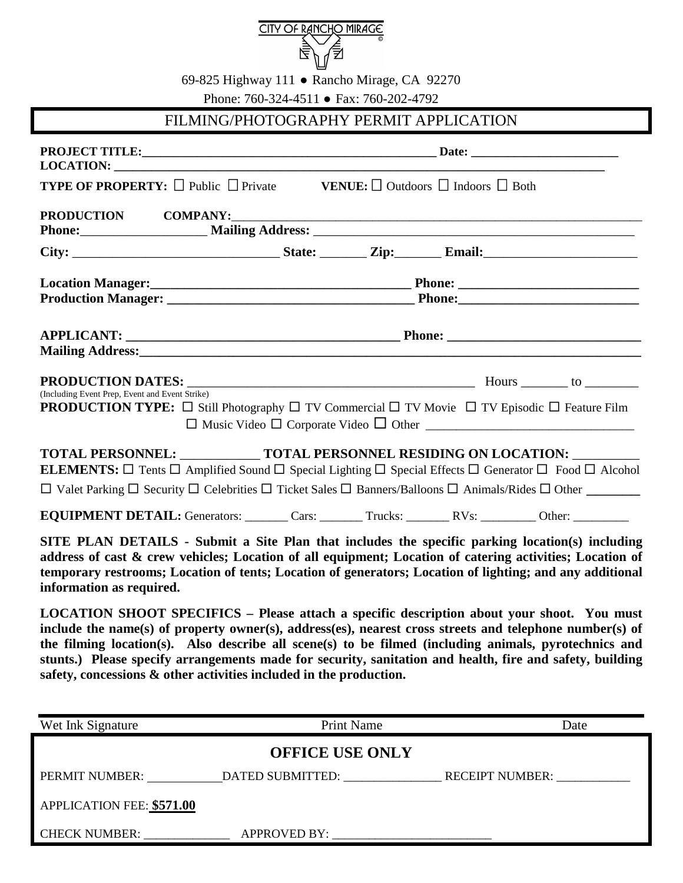

69-825 Highway 111 ● Rancho Mirage, CA 92270

Phone: 760-324-4511 ● Fax: 760-202-4792

## FILMING/PHOTOGRAPHY PERMIT APPLICATION

| <b>TYPE OF PROPERTY:</b> $\Box$ Public $\Box$ Private <b>VENUE:</b> $\Box$ Outdoors $\Box$ Indoors $\Box$ Both                                                                                                                                                                                                                                                                                                                                                                                   |                        |                   |  |      |
|--------------------------------------------------------------------------------------------------------------------------------------------------------------------------------------------------------------------------------------------------------------------------------------------------------------------------------------------------------------------------------------------------------------------------------------------------------------------------------------------------|------------------------|-------------------|--|------|
|                                                                                                                                                                                                                                                                                                                                                                                                                                                                                                  |                        |                   |  |      |
|                                                                                                                                                                                                                                                                                                                                                                                                                                                                                                  |                        |                   |  |      |
|                                                                                                                                                                                                                                                                                                                                                                                                                                                                                                  |                        |                   |  |      |
|                                                                                                                                                                                                                                                                                                                                                                                                                                                                                                  |                        |                   |  |      |
| (Including Event Prep, Event and Event Strike)<br><b>PRODUCTION TYPE:</b> $\Box$ Still Photography $\Box$ TV Commercial $\Box$ TV Movie $\Box$ TV Episodic $\Box$ Feature Film                                                                                                                                                                                                                                                                                                                   |                        |                   |  |      |
| TOTAL PERSONNEL: ____________ TOTAL PERSONNEL RESIDING ON LOCATION: _________<br><b>ELEMENTS:</b> $\Box$ Tents $\Box$ Amplified Sound $\Box$ Special Lighting $\Box$ Special Effects $\Box$ Generator $\Box$ Food $\Box$ Alcohol<br>$\Box$ Valet Parking $\Box$ Security $\Box$ Celebrities $\Box$ Ticket Sales $\Box$ Banners/Balloons $\Box$ Animals/Rides $\Box$ Other                                                                                                                        |                        |                   |  |      |
| <b>EQUIPMENT DETAIL:</b> Generators: Cars: Cars: Trucks: RVs: NVs: Other: Cars:                                                                                                                                                                                                                                                                                                                                                                                                                  |                        |                   |  |      |
| SITE PLAN DETAILS - Submit a Site Plan that includes the specific parking location(s) including<br>address of cast & crew vehicles; Location of all equipment; Location of catering activities; Location of<br>temporary restrooms; Location of tents; Location of generators; Location of lighting; and any additional<br>information as required.                                                                                                                                              |                        |                   |  |      |
| LOCATION SHOOT SPECIFICS - Please attach a specific description about your shoot. You must<br>include the name(s) of property owner(s), address(es), nearest cross streets and telephone number(s) of<br>the filming location(s). Also describe all scene(s) to be filmed (including animals, pyrotechnics and<br>stunts.) Please specify arrangements made for security, sanitation and health, fire and safety, building<br>safety, concessions & other activities included in the production. |                        |                   |  |      |
| Wet Ink Signature                                                                                                                                                                                                                                                                                                                                                                                                                                                                                |                        | <b>Print Name</b> |  | Date |
|                                                                                                                                                                                                                                                                                                                                                                                                                                                                                                  | <b>OFFICE USE ONLY</b> |                   |  |      |
|                                                                                                                                                                                                                                                                                                                                                                                                                                                                                                  |                        |                   |  |      |
| PERMIT NUMBER: _____________DATED SUBMITTED: _____________________RECEIPT NUMBER: ____________                                                                                                                                                                                                                                                                                                                                                                                                   |                        |                   |  |      |
| APPLICATION FEE: \$571.00                                                                                                                                                                                                                                                                                                                                                                                                                                                                        |                        |                   |  |      |